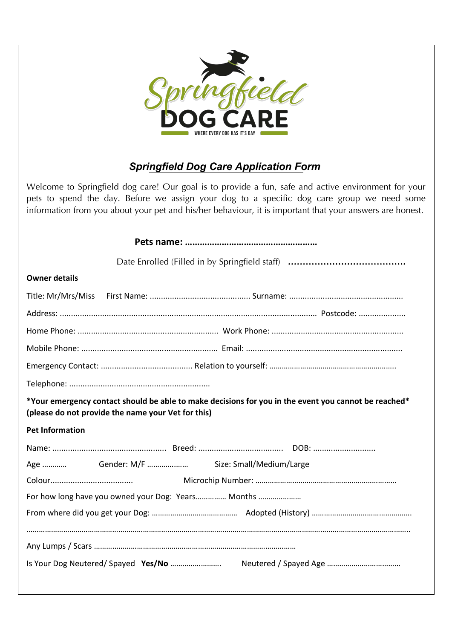

# *Springfield Dog Care Application Form*

Welcome to Springfield dog care! Our goal is to provide a fun, safe and active environment for your pets to spend the day. Before we assign your dog to a specific dog care group we need some information from you about your pet and his/her behaviour, it is important that your answers are honest.

| <b>Owner details</b>                                                                                                                                       |
|------------------------------------------------------------------------------------------------------------------------------------------------------------|
| Title: Mr/Mrs/Miss                                                                                                                                         |
|                                                                                                                                                            |
|                                                                                                                                                            |
|                                                                                                                                                            |
|                                                                                                                                                            |
|                                                                                                                                                            |
| *Your emergency contact should be able to make decisions for you in the event you cannot be reached*<br>(please do not provide the name your Vet for this) |
| <b>Pet Information</b>                                                                                                                                     |
|                                                                                                                                                            |
|                                                                                                                                                            |
|                                                                                                                                                            |
| For how long have you owned your Dog: Years Months                                                                                                         |
|                                                                                                                                                            |
|                                                                                                                                                            |
|                                                                                                                                                            |
|                                                                                                                                                            |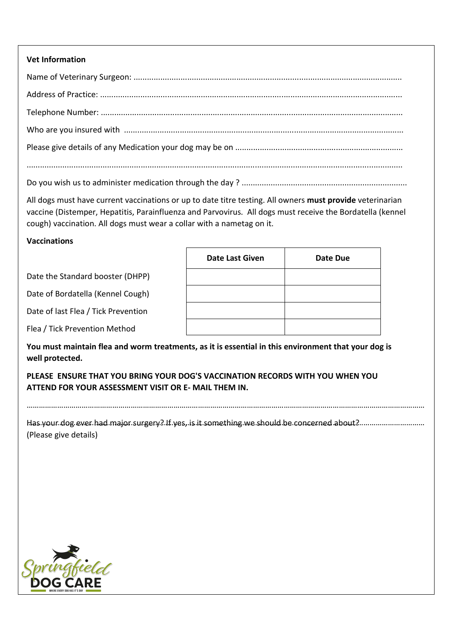## **Vet Information**

....................................................................................................................................................................... All dogs must have current vaccinations or up to date titre testing. All owners **must provide** veterinarian vaccine (Distemper, Hepatitis, Parainfluenza and Parvovirus. All dogs must receive the Bordatella (kennel cough) vaccination. All dogs must wear a collar with a nametag on it.

## **Vaccinations**

|                                     | <b>Date Last Given</b> | Date Due |
|-------------------------------------|------------------------|----------|
| Date the Standard booster (DHPP)    |                        |          |
| Date of Bordatella (Kennel Cough)   |                        |          |
| Date of last Flea / Tick Prevention |                        |          |
| Flea / Tick Prevention Method       |                        |          |

**You must maintain flea and worm treatments, as it is essential in this environment that your dog is well protected.** 

**PLEASE ENSURE THAT YOU BRING YOUR DOG'S VACCINATION RECORDS WITH YOU WHEN YOU ATTEND FOR YOUR ASSESSMENT VISIT OR E- MAIL THEM IN.**

Has your dog ever had major surgery? If yes, is it something we should be concerned about? …………………………………………………………………………………………………………………………………………………………………………… (Please give details)

……………………………………………………………………………………………………………………………………………………………………………

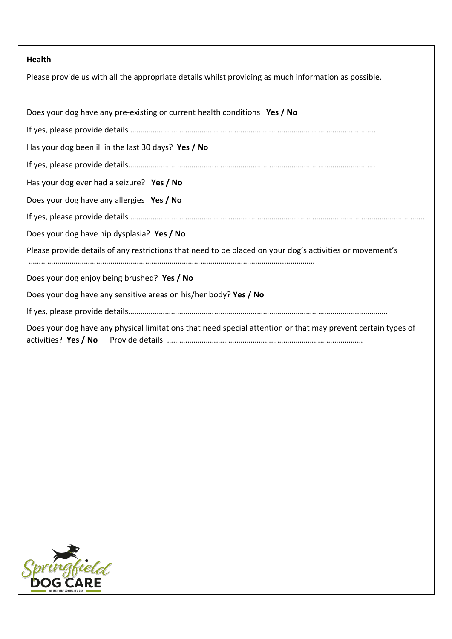## **Health**

Please provide us with all the appropriate details whilst providing as much information as possible.

| Does your dog have any pre-existing or current health conditions Yes / No                                    |
|--------------------------------------------------------------------------------------------------------------|
|                                                                                                              |
| Has your dog been ill in the last 30 days? Yes / No                                                          |
|                                                                                                              |
| Has your dog ever had a seizure? Yes / No                                                                    |
| Does your dog have any allergies Yes / No                                                                    |
|                                                                                                              |
| Does your dog have hip dysplasia? Yes / No                                                                   |
| Please provide details of any restrictions that need to be placed on your dog's activities or movement's     |
|                                                                                                              |
| Does your dog enjoy being brushed? Yes / No                                                                  |
| Does your dog have any sensitive areas on his/her body? Yes / No                                             |
|                                                                                                              |
| Does your dog have any physical limitations that need special attention or that may prevent certain types of |

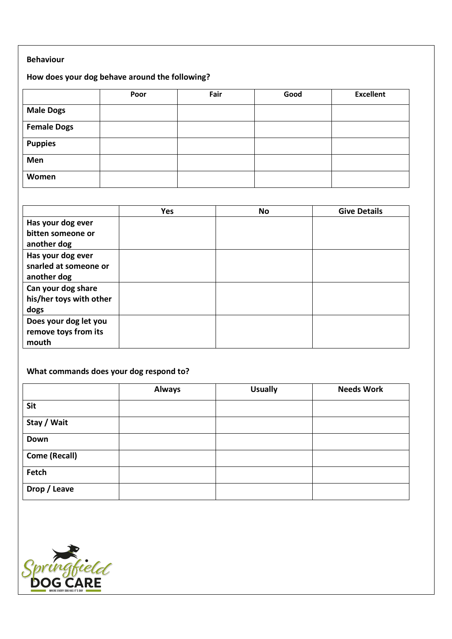### **Behaviour**

## **How does your dog behave around the following?**

|                    | Poor | Fair | Good | <b>Excellent</b> |
|--------------------|------|------|------|------------------|
| <b>Male Dogs</b>   |      |      |      |                  |
| <b>Female Dogs</b> |      |      |      |                  |
| <b>Puppies</b>     |      |      |      |                  |
| Men                |      |      |      |                  |
| Women              |      |      |      |                  |

|                                                           | Yes | <b>No</b> | <b>Give Details</b> |
|-----------------------------------------------------------|-----|-----------|---------------------|
| Has your dog ever<br>bitten someone or<br>another dog     |     |           |                     |
| Has your dog ever<br>snarled at someone or<br>another dog |     |           |                     |
| Can your dog share<br>his/her toys with other<br>dogs     |     |           |                     |
| Does your dog let you<br>remove toys from its<br>mouth    |     |           |                     |

## **What commands does your dog respond to?**

|                      | <b>Always</b> | <b>Usually</b> | <b>Needs Work</b> |
|----------------------|---------------|----------------|-------------------|
| <b>Sit</b>           |               |                |                   |
| Stay / Wait          |               |                |                   |
| Down                 |               |                |                   |
| <b>Come (Recall)</b> |               |                |                   |
| Fetch                |               |                |                   |
| Drop / Leave         |               |                |                   |

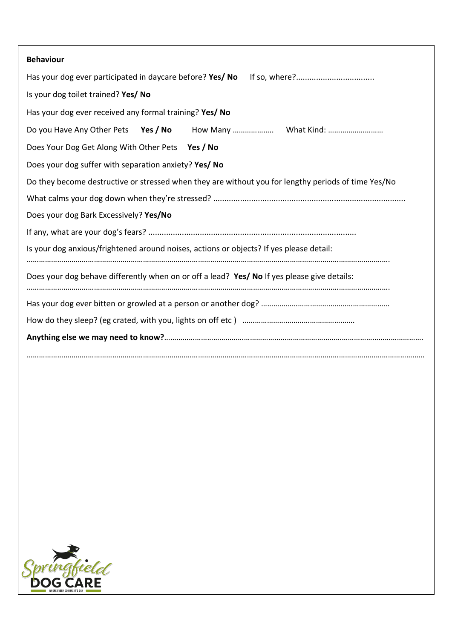| <b>Behaviour</b>                                                                                    |
|-----------------------------------------------------------------------------------------------------|
| Has your dog ever participated in daycare before? Yes/ No                                           |
| Is your dog toilet trained? Yes/ No                                                                 |
| Has your dog ever received any formal training? Yes/ No                                             |
| Do you Have Any Other Pets Yes / No How Many  What Kind:                                            |
| Does Your Dog Get Along With Other Pets Yes / No                                                    |
| Does your dog suffer with separation anxiety? Yes/ No                                               |
| Do they become destructive or stressed when they are without you for lengthy periods of time Yes/No |
|                                                                                                     |
| Does your dog Bark Excessively? Yes/No                                                              |
|                                                                                                     |
| Is your dog anxious/frightened around noises, actions or objects? If yes please detail:             |
| Does your dog behave differently when on or off a lead? Yes/ No If yes please give details:         |
|                                                                                                     |
|                                                                                                     |
|                                                                                                     |
|                                                                                                     |

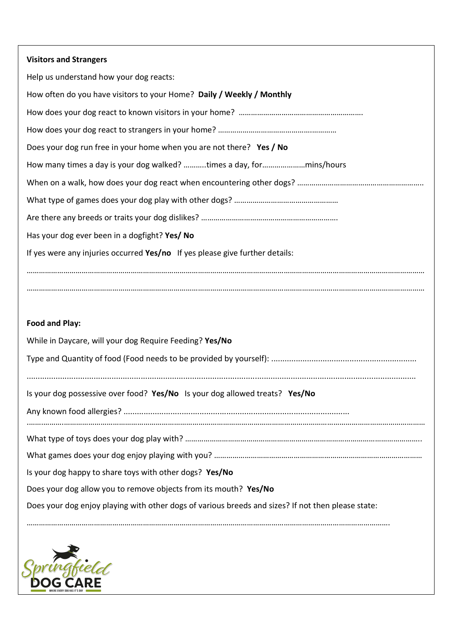| <b>Visitors and Strangers</b>                                                                      |
|----------------------------------------------------------------------------------------------------|
| Help us understand how your dog reacts:                                                            |
| How often do you have visitors to your Home? Daily / Weekly / Monthly                              |
|                                                                                                    |
|                                                                                                    |
| Does your dog run free in your home when you are not there? Yes / No                               |
|                                                                                                    |
|                                                                                                    |
|                                                                                                    |
|                                                                                                    |
| Has your dog ever been in a dogfight? Yes/ No                                                      |
| If yes were any injuries occurred Yes/no If yes please give further details:                       |
|                                                                                                    |
|                                                                                                    |
|                                                                                                    |
| <b>Food and Play:</b>                                                                              |
| While in Daycare, will your dog Require Feeding? Yes/No                                            |
|                                                                                                    |
|                                                                                                    |
| Is your dog possessive over food? Yes/No Is your dog allowed treats? Yes/No                        |
|                                                                                                    |
|                                                                                                    |
|                                                                                                    |
|                                                                                                    |
| Is your dog happy to share toys with other dogs? Yes/No                                            |
| Does your dog allow you to remove objects from its mouth? Yes/No                                   |
| Does your dog enjoy playing with other dogs of various breeds and sizes? If not then please state: |
|                                                                                                    |

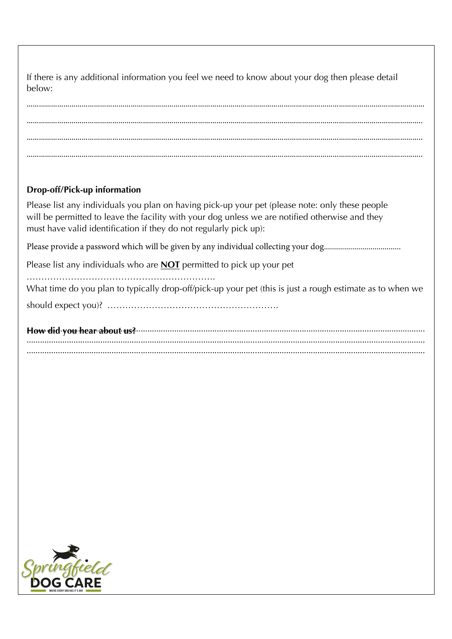If there is any additional information you feel we need to know about your dog then please detail helow:

…………………………………………………………………………………………………………………………………………………………………………… ………………………………………………………………………………………………………………………………………………………………………….. ………………………………………………………………………………………………………………………………………………………………………….. …………………………………………………………………………………………………………………………………………………………………………..

## **Drop-off/Pick-up information**

Please list any individuals you plan on having pick-up your pet (please note: only these people will be permitted to leave the facility with your dog unless we are notified otherwise and they must have valid identification if they do not regularly pick up):

Please provide a password which will be given by any individual collecting your dog......................................

Please list any individuals who are **NOT** permitted to pick up your pet

¯¯¯¯¯¯¯¯¯¯¯¯¯¯¯¯¯¯¯¯¯ What time do you plan to typically drop-off/pick-up your pet (this is just a rough estimate as to when we ZOV\SK L\_WLJ[ `V\& ¯¯¯¯¯¯¯¯¯¯¯¯¯¯¯¯¯¯¯

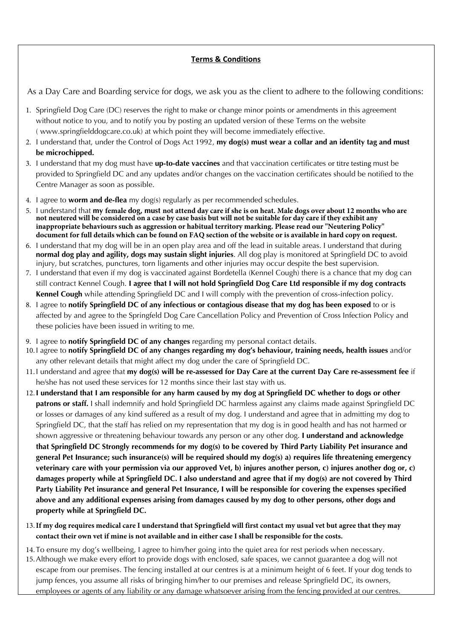## **Terms & Conditions**

As a Day Care and Boarding service for dogs, we ask you as the client to adhere to the following conditions:

- 1. Springfield Dog Care (DC) reserves the right to make or change minor points or amendments in this agreement without notice to you, and to notify you by posting an updated version of these Terms on the website ( www.springfielddogcare.co.uk) at which point they will become immediately effective.
- 2. I understand that, under the Control of Dogs Act 1992, **my dog(s) must wear a collar and an identity tag and must be microchipped.**
- 3. I understand that my dog must have **up-to-date vaccines** and that vaccination certificates or titre testing must be provided to Springfield DC and any updates and/or changes on the vaccination certificates should be notified to the Centre Manager as soon as possible.
- 4. I agree to **worm and de-flea** my dog(s) regularly as per recommended schedules.
- 5. I understand that **my female dog, must not attend day care if she is on heat. Male dogs over about 12 months who are not neutered will be considered on a case by case basis but will not be suitable for day care if they exhibit any inappropriate behaviours such as aggression or habitual territory marking. Please read our "Neutering Policy" document for full details which can be found on FAQ section of the website or is available in hard copy on request.**
- 6. I understand that my dog will be in an open play area and off the lead in suitable areas. I understand that during **normal dog play and agility, dogs may sustain slight injuries**. All dog play is monitored at Springfield DC to avoid injury, but scratches, punctures, torn ligaments and other injuries may occur despite the best supervision.
- 7. I understand that even if my dog is vaccinated against Bordetella (Kennel Cough) there is a chance that my dog can still contract Kennel Cough. **I agree that I will not hold Springfield Dog Care Ltd responsible if my dog contracts Kennel Cough** while attending Springfield DC and I will comply with the prevention of cross-infection policy.
- 8. I agree to **notify Springfield DC of any infectious or contagious disease that my dog has been exposed** to or is affected by and agree to the Springfeld Dog Care Cancellation Policy and Prevention of Cross Infection Policy and these policies have been issued in writing to me.
- 9. I agree to **notify Springfield DC of any changes** regarding my personal contact details.
- 10.I agree to **notify Springfield DC of any changes regarding my dog's behaviour, training needs, health issues** and/or any other relevant details that might affect my dog under the care of Springfield DC.
- 11.I understand and agree that **my dog(s) will be re-assessed for Day Care at the current Day Care re-assessment fee** if he/she has not used these services for 12 months since their last stay with us.
- 12.**I understand that I am responsible for any harm caused by my dog at Springfield DC whether to dogs or other patrons or staff.** I shall indemnify and hold Springfield DC harmless against any claims made against Springfield DC or losses or damages of any kind suffered as a result of my dog. I understand and agree that in admitting my dog to Springfield DC, that the staff has relied on my representation that my dog is in good health and has not harmed or shown aggressive or threatening behaviour towards any person or any other dog. **I understand and acknowledge that Springfield DC Strongly recommends for my dog(s) to be covered by Third Party Liability Pet insurance and general Pet Insurance; such insurance(s) will be required should my dog(s) a) requires life threatening emergency veterinary care with your permission via our approved Vet, b) injures another person, c) injures another dog or, c) damages property while at Springfield DC. I also understand and agree that if my dog(s) are not covered by Third Party Liability Pet insurance and general Pet Insurance, I will be responsible for covering the expenses specified above and any additional expenses arising from damages caused by my dog to other persons, other dogs and property while at Springfield DC.**
- 13.**If my dog requires medical care I understand that Springfield will first contact my usual vet but agree that they may contact their own vet if mine is not available and in either case I shall be responsible for the costs.**
- 14.To ensure my dog's wellbeing, I agree to him/her going into the quiet area for rest periods when necessary.
- 15.Although we make every effort to provide dogs with enclosed, safe spaces, we cannot guarantee a dog will not escape from our premises. The fencing installed at our centres is at a minimum height of 6 feet. If your dog tends to jump fences, you assume all risks of bringing him/her to our premises and release Springfield DC, its owners, employees or agents of any liability or any damage whatsoever arising from the fencing provided at our centres.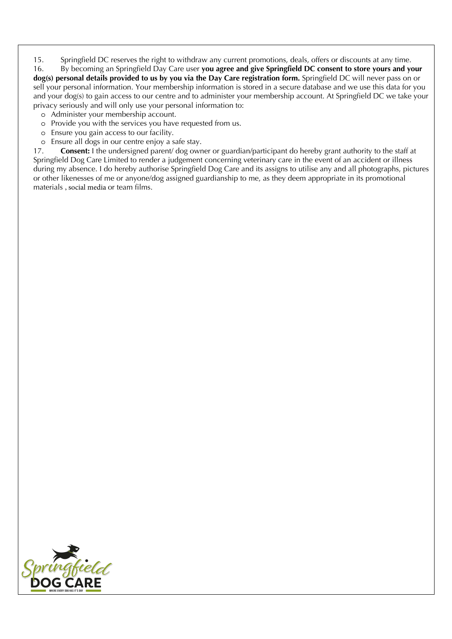15. Springfield DC reserves the right to withdraw any current promotions, deals, offers or discounts at any time.

16. By becoming an Springfield Day Care user **you agree and give Springfield DC consent to store yours and your dog(s) personal details provided to us by you via the Day Care registration form.** Springfield DC will never pass on or sell your personal information. Your membership information is stored in a secure database and we use this data for you and your dog(s) to gain access to our centre and to administer your membership account. At Springfield DC we take your privacy seriously and will only use your personal information to:

- o Administer your membership account.
- o Provide you with the services you have requested from us.
- o Ensure you gain access to our facility.
- o Ensure all dogs in our centre enjoy a safe stay.

17. **Consent:** I the undersigned parent/ dog owner or guardian/participant do hereby grant authority to the staff at Springfield Dog Care Limited to render a judgement concerning veterinary care in the event of an accident or illness during my absence. I do hereby authorise Springfield Dog Care and its assigns to utilise any and all photographs, pictures or other likenesses of me or anyone/dog assigned guardianship to me, as they deem appropriate in its promotional materials , social media or team films.